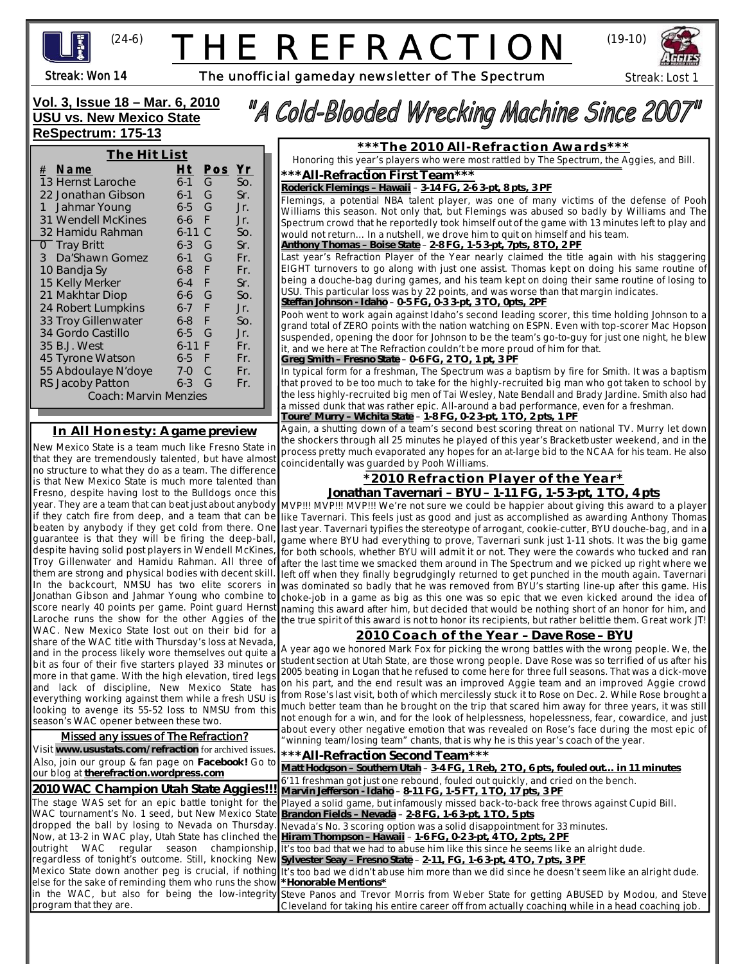

# THE REFRACTION



l

Streak: Won 14

The unofficial gameday newsletter of The Spectrum

**Vol. 3, Issue 18 – Mar. 6, 2010 USU vs. New Mexico State ReSpectrum: 175-13**

# "A Cold-Blooded Wrecking Machine Since 2007"

**The Hit List # Name Ht Pos Yr** 13 Hernst Laroche 6-1 G So. 22 Jonathan Gibson 6-1 G Sr. 1 Jahmar Young 6-5 G Jr.<br>31 Wendell McKines 6-6 F Jr. 31 Wendell McKines 6-6 F Jr.<br>32 Hamidu Rahman 6-11 C So 32 Hamidu Rahman 6-11 C So. 0 Tray Britt 6-3 G Sr.<br>3 Da'Shawn Gomez 6-1 G Fr. 3 Da'Shawn Gomez 6-1 G Fr. 10 Bandja Sy 6-8 F Fr. 15 Kelly Merker 6-4 F Sr. 21 Makhtar Diop 6-6 G So. 24 Robert Lumpkins 6-7 F Jr. 33 Troy Gillenwater 6-8 F So.<br>34 Gordo Castillo 6-5 G Jr. 34 Gordo Castillo 6-5 G Jr. 35 B.J. West 6-11 F Fr. 45 Tyrone Watson 6-5 F Fr. 55 Abdoulaye N'doye 7-0 C Fr.<br>RS Jacoby Patton 6-3 G Fr. RS Jacoby Patton 6-3 G Fr. Coach: Marvin Menzies

### **In All Honesty: A game preview**

New Mexico State is a team much like Fresno State in that they are tremendously talented, but have almost no structure to what they do as a team. The difference is that New Mexico State is much more talented than Fresno, despite having lost to the Bulldogs once this beaten by anybody if they get cold from there. One guarantee is that they will be firing the deep-ball, despite having solid post players in Wendell McKines, Troy Gillenwater and Hamidu Rahman. All three of them are strong and physical bodies with decent skill. In the backcourt, NMSU has two elite scorers in Jonathan Gibson and Jahmar Young who combine to score nearly 40 points per game. Point guard Hernst WAC. New Mexico State lost out on their bid for a share of the WAC title with Thursday's loss at Nevada, and in the process likely wore themselves out quite a more in that game. With the high elevation, tired legs and lack of discipline, New Mexico State has everything working against them while a fresh USU is looking to avenge its 55-52 loss to NMSU from this season's WAC opener between these two.

#### Missed any issues of The Refraction?

Visit **www.usustats.com/refraction** for archived issues. Also, join our group & fan page on **Facebook!** Go to our blog at **therefraction.wordpress.com**

**2010 WAC Champion Utah State Aggies!!!** The stage WAS set for an epic battle tonight for the WAC tournament's No. 1 seed, but New Mexico State dropped the ball by losing to Nevada on Thursday. Now, at 13-2 in WAC play, Utah State has clinched the outright WAC regular season championship, regardless of tonight's outcome. Still, knocking New else for the sake of reminding them who runs the show in the WAC, but also for being the low-integrity program that they are.

**\*\*\*The 2010 All-Refraction Awards\*\*\***

Honoring this year's players who were most rattled by The Spectrum, the Aggies, and Bill.

**\*\*\*All-Refraction First Team\*\*\***

*Roderick Flemings – Hawaii* – **3-14 FG, 2-6 3-pt, 8 pts, 3 PF**

Flemings, a potential NBA talent player, was one of many victims of the defense of Pooh Williams this season. Not only that, but Flemings was abused so badly by Williams and The Spectrum crowd that he reportedly took himself out of the game with 13 minutes left to play and would not return… In a nutshell, we drove him to quit on himself and his team.

#### *Anthony Thomas – Boise State* – **2-8 FG, 1-5 3-pt, 7pts, 8 TO, 2 PF**

Last year's Refraction Player of the Year nearly claimed the title again with his staggering EIGHT turnovers to go along with just one assist. Thomas kept on doing his same routine of being a douche-bag during games, and his team kept on doing their same routine of losing to USU. This particular loss was by 22 points, and was worse than that margin indicates. *Steffan Johnson - Idaho* – **0-5 FG, 0-3 3-pt, 3 TO, 0pts, 2PF**

Pooh went to work again against Idaho's second leading scorer, this time holding Johnson to a grand total of ZERO points with the nation watching on ESPN. Even with top-scorer Mac Hopson suspended, opening the door for Johnson to be the team's go-to-guy for just one night, he blew it, and we here at The Refraction couldn't be more proud of him for that.

#### *Greg Smith – Fresno State* – **0-6 FG, 2 TO, 1 pt, 3 PF**

**The Backstory: 2005-2009** *Toure' Murry – Wichita State* – **1-8 FG, 0-2 3-pt, 1 TO, 2 pts, 1 PF** In typical form for a freshman, The Spectrum was a baptism by fire for Smith. It was a baptism that proved to be too much to take for the highly-recruited big man who got taken to school by the less highly-recruited big men of Tai Wesley, Nate Bendall and Brady Jardine. Smith also had a missed dunk that was rather epic. All-around a bad performance, even for a freshman.

Again, a shutting down of a team's second best scoring threat on national TV. Murry let down the shockers through all 25 minutes he played of this year's Bracketbuster weekend, and in the process pretty much evaporated any hopes for an at-large bid to the NCAA for his team. He also coincidentally was guarded by Pooh Williams.

#### **\*2010 Refraction Player of the Year\* Jonathan Tavernari – BYU – 1-11 FG, 1-5 3-pt, 1 TO, 4 pts**

year. They are a team that can beat just about anybody MVP!!! MVP!!! MVP!!! We're not sure we could be happier about giving this award to a player if they catch fire from deep, and a team that can be like Tavernari. This feels just as good and just as accomplished as awarding Anthony Thomas Laroche runs the show for the other Aggies of the the true spirit of this award is not to honor its recipients, but rather belittle them. Great work JT! last year. Tavernari typifies the stereotype of arrogant, cookie-cutter, BYU douche-bag, and in a game where BYU had everything to prove, Tavernari sunk just 1-11 shots. It was the big game for both schools, whether BYU will admit it or not. They were the cowards who tucked and ran after the last time we smacked them around in The Spectrum and we picked up right where we left off when they finally begrudgingly returned to get punched in the mouth again. Tavernari was dominated so badly that he was removed from BYU's starting line-up after this game. His choke-job in a game as big as this one was so epic that we even kicked around the idea of naming this award after him, but decided that would be nothing short of an honor for him, and

### **2010 Coach of the Year – Dave Rose – BYU**

the media of their five starters played 33 minutes or student section at Utah State, are those wrong people. Dave Rose was so terrified of us after his bit as four of their five starters played 33 minutes or student sectio on his part, and the end result was an improved Aggie team and an improved Aggie crowd **We checked it for once. Found these** much better team than he brought on the trip that scared him away for three years, it was still not enough for a win, and for the look of helplessness, hopelessness, fear, cowardice, and just about every other negative emotion that was revealed on Rose's face during the most epic of "winning team/losing team" chants, that is why he is this year's coach of the year. A year ago we honored Mark Fox for picking the wrong battles with the wrong people. We, the 2005 beating in Logan that he refused to come here for three full seasons. That was a dick-move from Rose's last visit, both of which mercilessly stuck it to Rose on Dec. 2. While Rose brought a

**\*\*\*All-Refraction Second Team\*\*\***

Mexico State down another peg is crucial, if nothing It's too bad we didn't abuse him more than we did since he doesn't seem like an alright dude. Thanks in advance for the business." *Matt Hodgson – Southern Utah* – *3***-4 FG, 1 Reb, 2 TO, 6 pts, fouled out… in 11 minutes** *- Cache Valley Hearing Loss Clinic* 6'11 freshman got just one rebound, fouled out quickly, and cried on the bench. <u>Marvin Jefferson - Idaho</u> – <u>8-11 FG, 1-5 FT, 1 TO, 17 pts, 3 PF</u> *- Dave Rose* Played a solid game, but infamously missed back-to-back free throws against Cupid Bill. Nevada's No. 3 scoring option was a solid disappointment for 33 minutes. guys' mission papers are coming along? *Hiram Thompson – Hawaii* – *1***-6 FG, 0-2 3-pt, 4 TO, 2 pts, 2 PF** It's too bad that we had to abuse him like this since he seems like an alright dude. *- The LDS Church Sylvester Seay – Fresno State* – **2-11, FG, 1-6 3-pt, 4 TO, 7 pts, 3 PF** Steve Panos and Trevor Morris from Weber State for getting ABUSED by Modou, and Steve *Brandon Fields – Nevada* – **2-8 FG, 1-6 3-pt, 1 TO, 5 pts** *\*Honorable Mentions\** Cleveland for taking his entire career off from actually coaching while in a head coaching job.